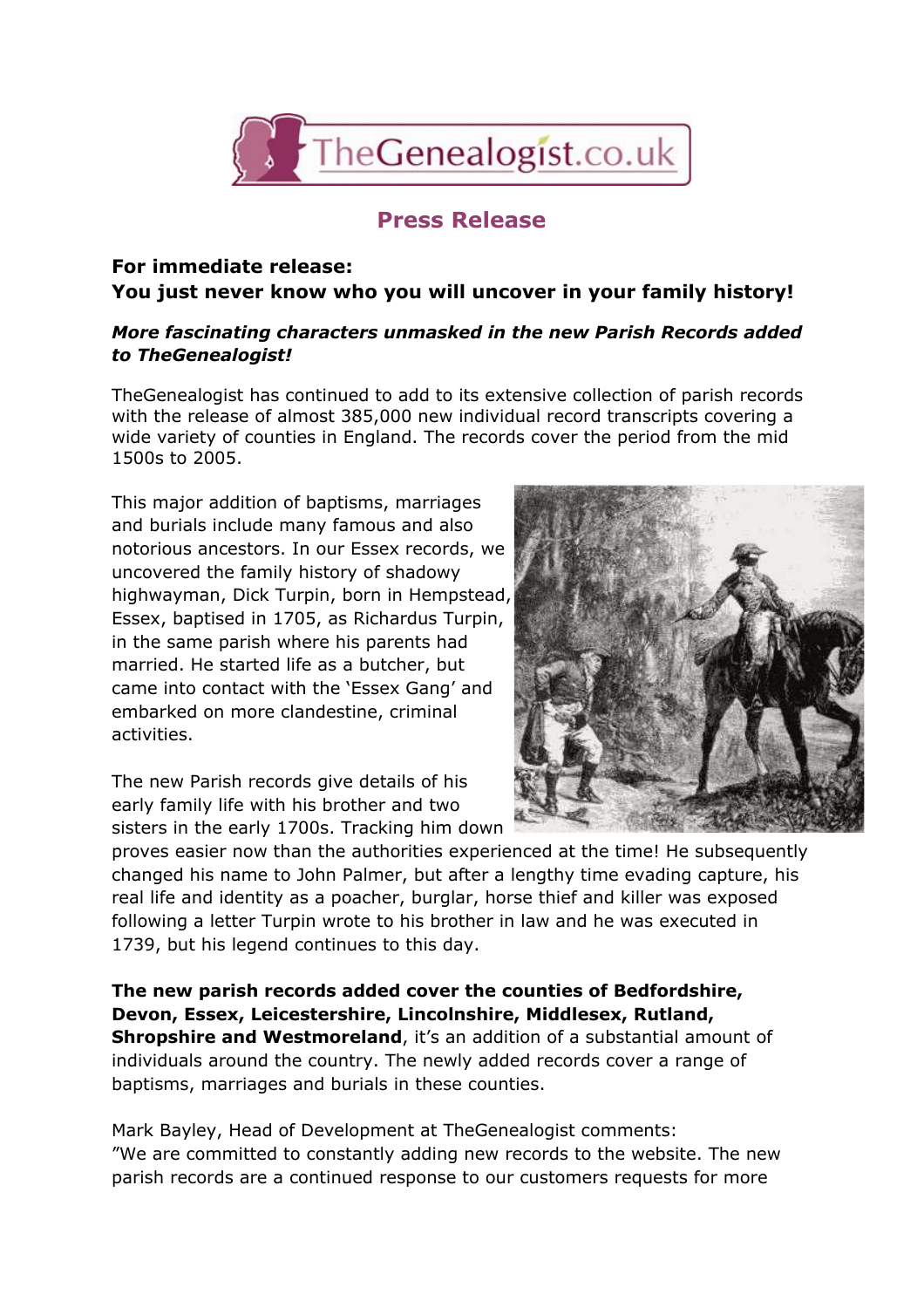

## **Press Release**

## **For immediate release: You just never know who you will uncover in your family history!**

## *More fascinating characters unmasked in the new Parish Records added to TheGenealogist!*

TheGenealogist has continued to add to its extensive collection of parish records with the release of almost 385,000 new individual record transcripts covering a wide variety of counties in England. The records cover the period from the mid 1500s to 2005.

This major addition of baptisms, marriages and burials include many famous and also notorious ancestors. In our Essex records, we uncovered the family history of shadowy highwayman, Dick Turpin, born in Hempstead, Essex, baptised in 1705, as Richardus Turpin, in the same parish where his parents had married. He started life as a butcher, but came into contact with the 'Essex Gang' and embarked on more clandestine, criminal activities.

The new Parish records give details of his early family life with his brother and two sisters in the early 1700s. Tracking him down



proves easier now than the authorities experienced at the time! He subsequently changed his name to John Palmer, but after a lengthy time evading capture, his real life and identity as a poacher, burglar, horse thief and killer was exposed following a letter Turpin wrote to his brother in law and he was executed in 1739, but his legend continues to this day.

**The new parish records added cover the counties of Bedfordshire, Devon, Essex, Leicestershire, Lincolnshire, Middlesex, Rutland, Shropshire and Westmoreland**, it's an addition of a substantial amount of individuals around the country. The newly added records cover a range of baptisms, marriages and burials in these counties.

Mark Bayley, Head of Development at TheGenealogist comments: "We are committed to constantly adding new records to the website. The new parish records are a continued response to our customers requests for more